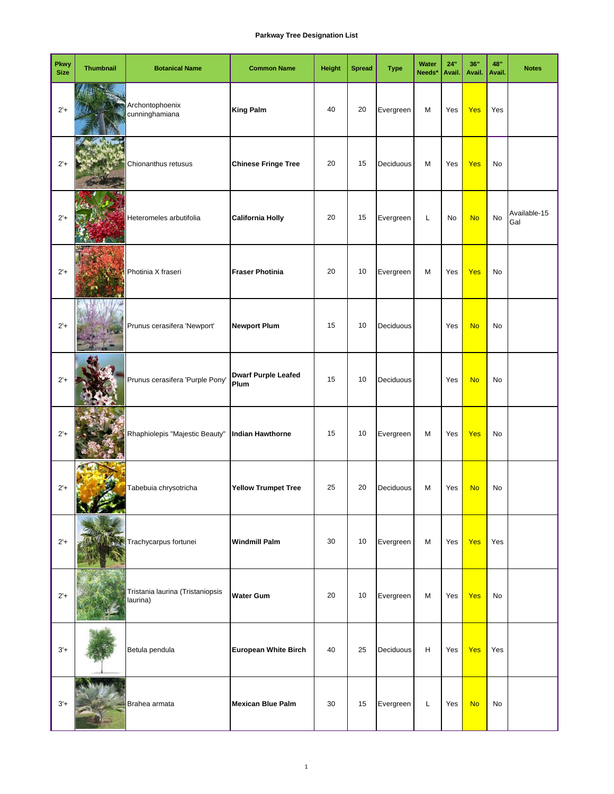| <b>Pkwy</b><br><b>Size</b> | <b>Thumbnail</b> | <b>Botanical Name</b>                        | <b>Common Name</b>                 | <b>Height</b> | <b>Spread</b> | <b>Type</b> | Water<br>Needs* | 24"<br>Avail. | 36"<br>Avail. | 48"<br>Avail. | <b>Notes</b>        |
|----------------------------|------------------|----------------------------------------------|------------------------------------|---------------|---------------|-------------|-----------------|---------------|---------------|---------------|---------------------|
| $2'+$                      |                  | Archontophoenix<br>cunninghamiana            | <b>King Palm</b>                   | 40            | 20            | Evergreen   | M               | Yes           | Yes           | Yes           |                     |
| $2'+$                      |                  | Chionanthus retusus                          | <b>Chinese Fringe Tree</b>         | 20            | 15            | Deciduous   | M               | Yes           | Yes           | No            |                     |
| $2'+$                      |                  | Heteromeles arbutifolia                      | <b>California Holly</b>            | 20            | 15            | Evergreen   | Г               | No            | <b>No</b>     | No            | Available-15<br>Gal |
| $2'+$                      |                  | Photinia X fraseri                           | <b>Fraser Photinia</b>             | 20            | 10            | Evergreen   | M               | Yes           | Yes           | No            |                     |
| $2'+$                      |                  | Prunus cerasifera 'Newport'                  | <b>Newport Plum</b>                | 15            | 10            | Deciduous   |                 | Yes           | <b>No</b>     | No            |                     |
| $2'+$                      |                  | Prunus cerasifera 'Purple Pony'              | <b>Dwarf Purple Leafed</b><br>Plum | 15            | 10            | Deciduous   |                 | Yes           | <b>No</b>     | No            |                     |
| $2'+$                      |                  | Rhaphiolepis "Majestic Beauty"               | <b>Indian Hawthorne</b>            | 15            | 10            | Evergreen   | M               | Yes           | <b>Yes</b>    | No            |                     |
| $2'+$                      |                  | Tabebuia chrysotricha                        | <b>Yellow Trumpet Tree</b>         | 25            | 20            | Deciduous   | M               | Yes           | <b>No</b>     | No            |                     |
| $2'+$                      |                  | Trachycarpus fortunei                        | <b>Windmill Palm</b>               | 30            | 10            | Evergreen   | M               | Yes           | <b>Yes</b>    | Yes           |                     |
| $2'+$                      |                  | Tristania laurina (Tristaniopsis<br>laurina) | <b>Water Gum</b>                   | 20            | 10            | Evergreen   | M               | Yes           | <b>Yes</b>    | No            |                     |
| $3'+$                      |                  | Betula pendula                               | European White Birch               | 40            | 25            | Deciduous   | н               | Yes           | <b>Yes</b>    | Yes           |                     |
| $3'+$                      |                  | Brahea armata                                | <b>Mexican Blue Palm</b>           | 30            | 15            | Evergreen   | L               | Yes           | <b>No</b>     | <b>No</b>     |                     |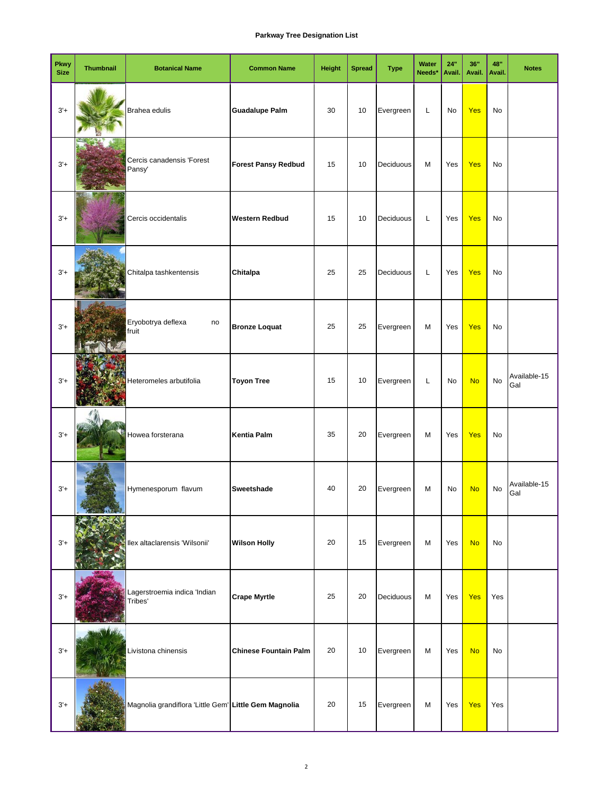| <b>Pkwy</b><br><b>Size</b> | <b>Thumbnail</b> | <b>Botanical Name</b>                                 | <b>Common Name</b>           | Height | <b>Spread</b> | <b>Type</b> | Water<br>Needs* | 24"<br>Avail. | 36"<br>Avail. | 48"<br>Avail. | <b>Notes</b>        |
|----------------------------|------------------|-------------------------------------------------------|------------------------------|--------|---------------|-------------|-----------------|---------------|---------------|---------------|---------------------|
| $3'+$                      |                  | Brahea edulis                                         | <b>Guadalupe Palm</b>        | 30     | 10            | Evergreen   | Г               | No            | <b>Yes</b>    | No            |                     |
| $3'+$                      |                  | Cercis canadensis 'Forest<br>Pansy'                   | <b>Forest Pansy Redbud</b>   | 15     | 10            | Deciduous   | M               | Yes           | <b>Yes</b>    | No            |                     |
| $3'+$                      |                  | Cercis occidentalis                                   | <b>Western Redbud</b>        | 15     | 10            | Deciduous   | L               | Yes           | <b>Yes</b>    | No            |                     |
| $3'+$                      |                  | Chitalpa tashkentensis                                | Chitalpa                     | 25     | 25            | Deciduous   | L               | Yes           | Yes           | No            |                     |
| $3'+$                      |                  | Eryobotrya deflexa<br>no<br>fruit                     | <b>Bronze Loquat</b>         | 25     | 25            | Evergreen   | M               | Yes           | Yes           | No            |                     |
| $3' +$                     |                  | Heteromeles arbutifolia                               | <b>Toyon Tree</b>            | 15     | 10            | Evergreen   | L               | No            | <b>No</b>     | $\mathsf{No}$ | Available-15<br>Gal |
| $3'+$                      |                  | Howea forsterana                                      | <b>Kentia Palm</b>           | 35     | 20            | Evergreen   | M               | Yes           | Yes           | No            |                     |
| $3'+$                      |                  | Hymenesporum flavum                                   | Sweetshade                   | 40     | 20            | Evergreen   | M               | No            | <b>No</b>     | No            | Available-15<br>Gal |
| $3'+$                      |                  | Ilex altaclarensis 'Wilsonii'                         | <b>Wilson Holly</b>          | 20     | 15            | Evergreen   | М               | Yes           | <b>No</b>     | No            |                     |
| $3'+$                      |                  | Lagerstroemia indica 'Indian<br>Tribes'               | <b>Crape Myrtle</b>          | 25     | 20            | Deciduous   | М               | Yes           | <b>Yes</b>    | Yes           |                     |
| $3'+$                      |                  | Livistona chinensis                                   | <b>Chinese Fountain Palm</b> | 20     | 10            | Evergreen   | M               | Yes           | <b>No</b>     | No            |                     |
| $3'+$                      |                  | Magnolia grandiflora 'Little Gem' Little Gem Magnolia |                              | 20     | 15            | Evergreen   | М               | Yes           | Yes           | Yes           |                     |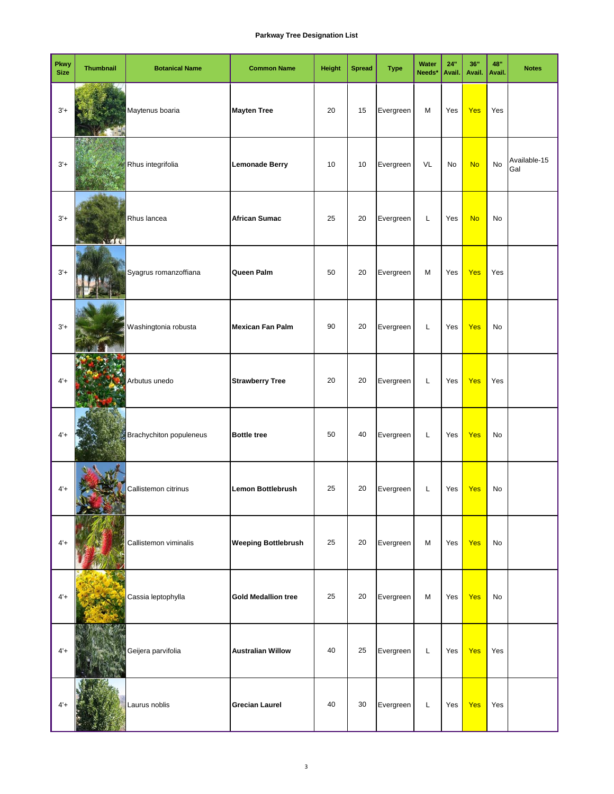| Pkwy<br><b>Size</b> | <b>Thumbnail</b> | <b>Botanical Name</b>   | <b>Common Name</b>         | Height | <b>Spread</b> | <b>Type</b> | Water<br>Needs* | 24"<br>Avail. | 36"<br>Avail. | 48"<br>Avail. | <b>Notes</b>        |
|---------------------|------------------|-------------------------|----------------------------|--------|---------------|-------------|-----------------|---------------|---------------|---------------|---------------------|
| $3'+$               |                  | Maytenus boaria         | <b>Mayten Tree</b>         | 20     | 15            | Evergreen   | M               | Yes           | <b>Yes</b>    | Yes           |                     |
| $3'+$               |                  | Rhus integrifolia       | <b>Lemonade Berry</b>      | 10     | 10            | Evergreen   | VL              | No            | <b>No</b>     | No            | Available-15<br>Gal |
| $3'+$               |                  | Rhus lancea             | <b>African Sumac</b>       | 25     | 20            | Evergreen   | Г               | Yes           | <b>No</b>     | No            |                     |
| $3'+$               |                  | Syagrus romanzoffiana   | Queen Palm                 | 50     | 20            | Evergreen   | M               | Yes           | Yes           | Yes           |                     |
| $3'+$               |                  | Washingtonia robusta    | <b>Mexican Fan Palm</b>    | 90     | 20            | Evergreen   | L               | Yes           | <b>Yes</b>    | No            |                     |
| $4' +$              |                  | Arbutus unedo           | <b>Strawberry Tree</b>     | 20     | 20            | Evergreen   | L               | Yes           | <b>Yes</b>    | Yes           |                     |
| $4'+$               |                  | Brachychiton populeneus | <b>Bottle tree</b>         | 50     | 40            | Evergreen   | L               | Yes           | Yes           | No            |                     |
| $4' +$              |                  | Callistemon citrinus    | <b>Lemon Bottlebrush</b>   | 25     | 20            | Evergreen   | L               | Yes           | <b>Yes</b>    | No            |                     |
| $4' +$              |                  | Callistemon viminalis   | <b>Weeping Bottlebrush</b> | 25     | 20            | Evergreen   | M               | Yes           | <b>Yes</b>    | No            |                     |
| $4' +$              |                  | Cassia leptophylla      | <b>Gold Medallion tree</b> | 25     | 20            | Evergreen   | M               | Yes           | <b>Yes</b>    | No            |                     |
| $4' +$              |                  | Geijera parvifolia      | <b>Australian Willow</b>   | 40     | 25            | Evergreen   | L               | Yes           | <b>Yes</b>    | Yes           |                     |
| $4' +$              |                  | Laurus noblis           | <b>Grecian Laurel</b>      | 40     | 30            | Evergreen   | L               | Yes           | Yes           | Yes           |                     |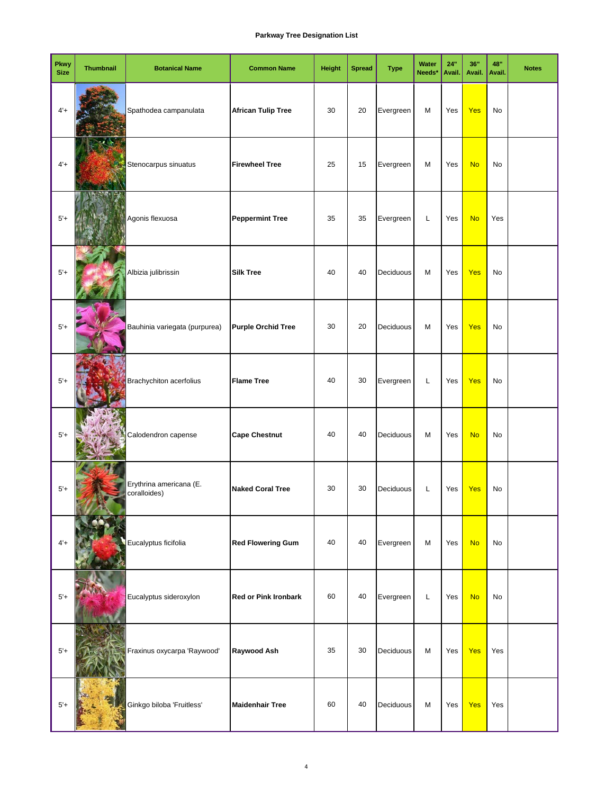| <b>Pkwy</b><br><b>Size</b> | <b>Thumbnail</b> | <b>Botanical Name</b>                   | <b>Common Name</b>          | <b>Height</b> | <b>Spread</b> | <b>Type</b> | Water<br>Needs* | 24"<br>Avail. | 36"<br>Avail. | 48"<br>Avail. | <b>Notes</b> |
|----------------------------|------------------|-----------------------------------------|-----------------------------|---------------|---------------|-------------|-----------------|---------------|---------------|---------------|--------------|
| $4' +$                     |                  | Spathodea campanulata                   | <b>African Tulip Tree</b>   | 30            | 20            | Evergreen   | M               | Yes           | <b>Yes</b>    | No            |              |
| $4' +$                     |                  | Stenocarpus sinuatus                    | <b>Firewheel Tree</b>       | 25            | 15            | Evergreen   | M               | Yes           | <b>No</b>     | No            |              |
| $5'+$                      |                  | Agonis flexuosa                         | <b>Peppermint Tree</b>      | 35            | 35            | Evergreen   | Г               | Yes           | <b>No</b>     | Yes           |              |
| $5'+$                      |                  | Albizia julibrissin                     | <b>Silk Tree</b>            | 40            | 40            | Deciduous   | M               | Yes           | <b>Yes</b>    | No            |              |
| $5'+$                      |                  | Bauhinia variegata (purpurea)           | <b>Purple Orchid Tree</b>   | 30            | 20            | Deciduous   | M               | Yes           | <b>Yes</b>    | No            |              |
| $5'+$                      |                  | Brachychiton acerfolius                 | <b>Flame Tree</b>           | 40            | 30            | Evergreen   | L               | Yes           | <b>Yes</b>    | No            |              |
| $5'+$                      |                  | Calodendron capense                     | <b>Cape Chestnut</b>        | 40            | 40            | Deciduous   | M               | Yes           | <b>No</b>     | No            |              |
| $5'+$                      |                  | Erythrina americana (E.<br>coralloides) | <b>Naked Coral Tree</b>     | 30            | 30            | Deciduous   | Г               | Yes           | Yes           | No            |              |
| $4' +$                     |                  | Eucalyptus ficifolia                    | <b>Red Flowering Gum</b>    | 40            | 40            | Evergreen   | M               | Yes           | <b>No</b>     | No            |              |
| $5'+$                      |                  | Eucalyptus sideroxylon                  | <b>Red or Pink Ironbark</b> | 60            | 40            | Evergreen   | Г               | Yes           | <b>No</b>     | No            |              |
| $5'+$                      |                  | Fraxinus oxycarpa 'Raywood'             | Raywood Ash                 | 35            | 30            | Deciduous   | M               | Yes           | <b>Yes</b>    | Yes           |              |
| $5'+$                      |                  | Ginkgo biloba 'Fruitless'               | <b>Maidenhair Tree</b>      | 60            | 40            | Deciduous   | M               | Yes           | Yes           | Yes           |              |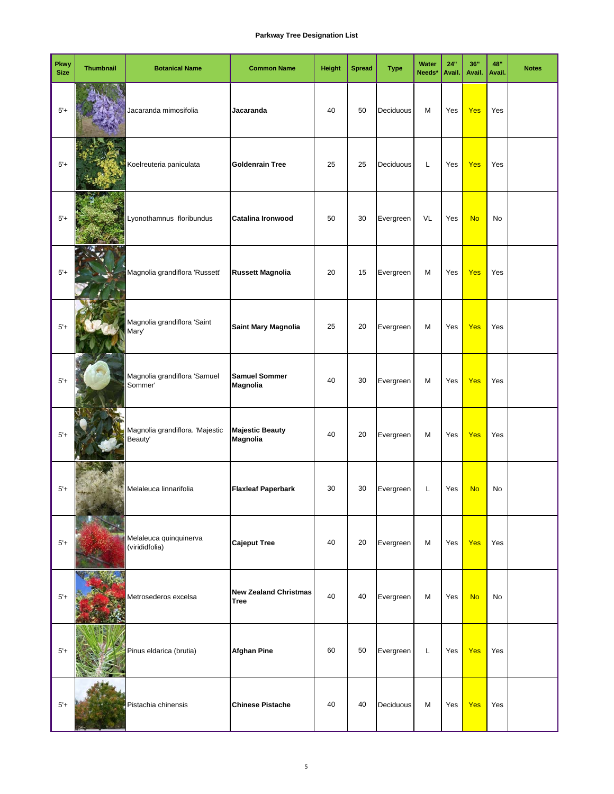| <b>Pkwy</b><br><b>Size</b> | <b>Thumbnail</b> | <b>Botanical Name</b>                      | <b>Common Name</b>                          | <b>Height</b> | <b>Spread</b> | <b>Type</b> | Water<br>Needs* | 24"<br>Avail. | 36"<br>Avail. | 48"<br>Avail. | <b>Notes</b> |
|----------------------------|------------------|--------------------------------------------|---------------------------------------------|---------------|---------------|-------------|-----------------|---------------|---------------|---------------|--------------|
| $5'+$                      |                  | Jacaranda mimosifolia                      | Jacaranda                                   | 40            | 50            | Deciduous   | M               | Yes           | <b>Yes</b>    | Yes           |              |
| $5'+$                      |                  | Koelreuteria paniculata                    | <b>Goldenrain Tree</b>                      | 25            | 25            | Deciduous   | L               | Yes           | <b>Yes</b>    | Yes           |              |
| $5'+$                      |                  | Lyonothamnus floribundus                   | Catalina Ironwood                           | 50            | 30            | Evergreen   | VL              | Yes           | <b>No</b>     | No            |              |
| $5'+$                      |                  | Magnolia grandiflora 'Russett'             | <b>Russett Magnolia</b>                     | 20            | 15            | Evergreen   | M               | Yes           | <b>Yes</b>    | Yes           |              |
| $5'+$                      |                  | Magnolia grandiflora 'Saint<br>Mary'       | Saint Mary Magnolia                         | 25            | 20            | Evergreen   | M               | Yes           | <b>Yes</b>    | Yes           |              |
| $5'+$                      |                  | Magnolia grandiflora 'Samuel<br>Sommer'    | <b>Samuel Sommer</b><br><b>Magnolia</b>     | 40            | 30            | Evergreen   | M               | Yes           | <b>Yes</b>    | Yes           |              |
| $5'+$                      |                  | Magnolia grandiflora. 'Majestic<br>Beauty' | <b>Majestic Beauty</b><br><b>Magnolia</b>   | 40            | 20            | Evergreen   | M               | Yes           | <b>Yes</b>    | Yes           |              |
| $5'+$                      |                  | Melaleuca linnarifolia                     | <b>Flaxleaf Paperbark</b>                   | 30            | 30            | Evergreen   | L               | Yes           | <b>No</b>     | No            |              |
| $5'+$                      |                  | Melaleuca quinquinerva<br>(virididfolia)   | <b>Cajeput Tree</b>                         | 40            | 20            | Evergreen   | M               | Yes           | <b>Yes</b>    | Yes           |              |
| $5'+$                      |                  | Metrosederos excelsa                       | <b>New Zealand Christmas</b><br><b>Tree</b> | 40            | 40            | Evergreen   | M               | Yes           | <b>No</b>     | No            |              |
| $5'+$                      |                  | Pinus eldarica (brutia)                    | <b>Afghan Pine</b>                          | 60            | 50            | Evergreen   | L               | Yes           | <b>Yes</b>    | Yes           |              |
| $5'+$                      |                  | Pistachia chinensis                        | <b>Chinese Pistache</b>                     | 40            | 40            | Deciduous   | M               | Yes           | <b>Yes</b>    | Yes           |              |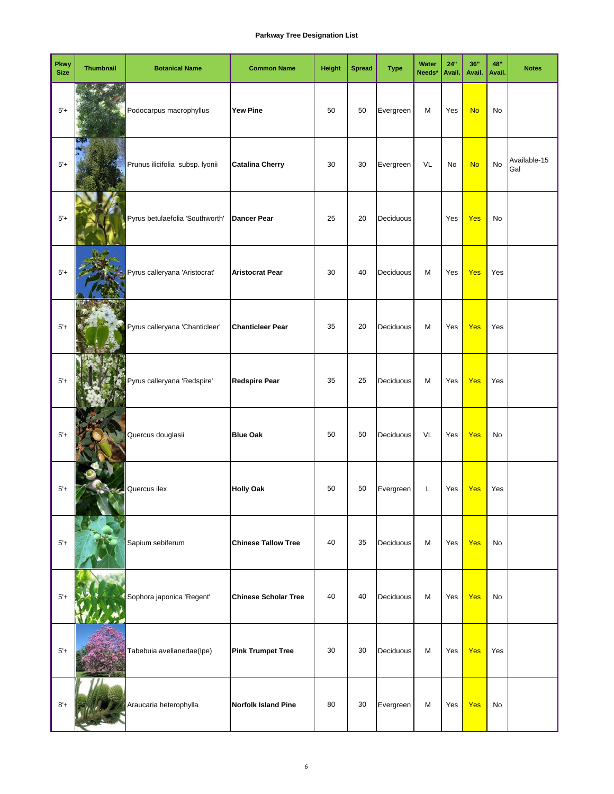| <b>Pkwy</b><br><b>Size</b> | <b>Thumbnail</b> | <b>Botanical Name</b>           | <b>Common Name</b>          | <b>Height</b> | <b>Spread</b> | <b>Type</b> | Water<br>Needs* | 24"<br>Avail. | 36"<br>Avail. | 48"<br>Avail. | <b>Notes</b>        |
|----------------------------|------------------|---------------------------------|-----------------------------|---------------|---------------|-------------|-----------------|---------------|---------------|---------------|---------------------|
| $5'+$                      |                  | Podocarpus macrophyllus         | <b>Yew Pine</b>             | 50            | 50            | Evergreen   | М               | Yes           | <b>No</b>     | No            |                     |
| $5'+$                      | 62.              | Prunus ilicifolia subsp. lyonii | <b>Catalina Cherry</b>      | 30            | 30            | Evergreen   | VL              | No            | <b>No</b>     | No            | Available-15<br>Gal |
| $5'+$                      |                  | Pyrus betulaefolia 'Southworth' | <b>Dancer Pear</b>          | 25            | 20            | Deciduous   |                 | Yes           | <b>Yes</b>    | No            |                     |
| $5'+$                      |                  | Pyrus calleryana 'Aristocrat'   | <b>Aristocrat Pear</b>      | 30            | 40            | Deciduous   | M               | Yes           | <b>Yes</b>    | Yes           |                     |
| $5'+$                      |                  | Pyrus calleryana 'Chanticleer'  | <b>Chanticleer Pear</b>     | 35            | 20            | Deciduous   | М               | Yes           | <b>Yes</b>    | Yes           |                     |
| $5'+$                      |                  | Pyrus calleryana 'Redspire'     | <b>Redspire Pear</b>        | 35            | 25            | Deciduous   | M               | Yes           | <b>Yes</b>    | Yes           |                     |
| $5'+$                      |                  | Quercus douglasii               | <b>Blue Oak</b>             | 50            | 50            | Deciduous   | VL              | Yes           | <b>Yes</b>    | No            |                     |
| $5'+$                      |                  | Quercus ilex                    | <b>Holly Oak</b>            | 50            | 50            | Evergreen   | Г               | Yes           | <b>Yes</b>    | Yes           |                     |
| $5'+$                      |                  | Sapium sebiferum                | <b>Chinese Tallow Tree</b>  | 40            | 35            | Deciduous   | M               | Yes           | <b>Yes</b>    | No            |                     |
| $5'+$                      |                  | Sophora japonica 'Regent'       | <b>Chinese Scholar Tree</b> | 40            | 40            | Deciduous   | M               | Yes           | <b>Yes</b>    | No            |                     |
| $5'+$                      |                  | Tabebuia avellanedae(Ipe)       | <b>Pink Trumpet Tree</b>    | 30            | 30            | Deciduous   | M               | Yes           | <b>Yes</b>    | Yes           |                     |
| $8'+$                      |                  | Araucaria heterophylla          | <b>Norfolk Island Pine</b>  | 80            | 30            | Evergreen   | M               | Yes           | <b>Yes</b>    | No            |                     |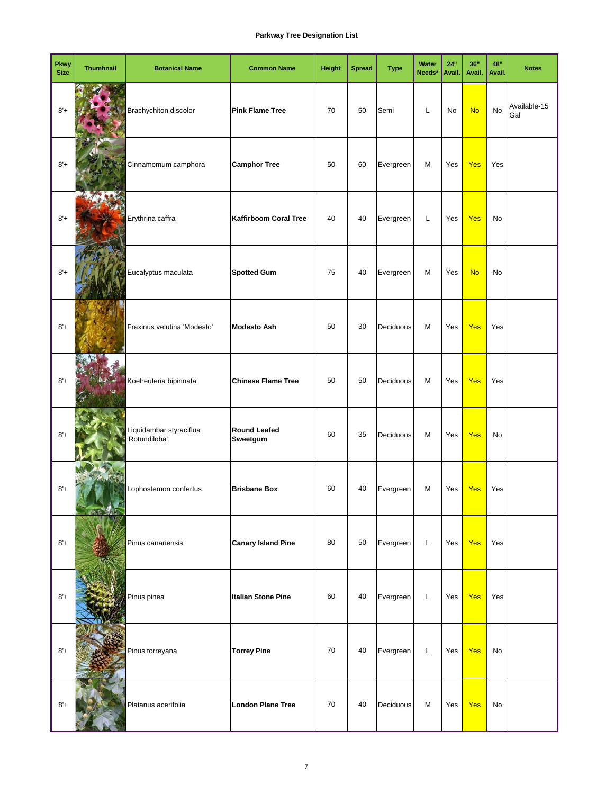| <b>Pkwy</b><br><b>Size</b> | <b>Thumbnail</b> | <b>Botanical Name</b>                    | <b>Common Name</b>              | <b>Height</b> | <b>Spread</b> | <b>Type</b> | Water<br>Needs* | 24"<br>Avail. | 36"<br>Avail. | 48"<br>Avail. | <b>Notes</b>        |
|----------------------------|------------------|------------------------------------------|---------------------------------|---------------|---------------|-------------|-----------------|---------------|---------------|---------------|---------------------|
| $8'+$                      |                  | Brachychiton discolor                    | <b>Pink Flame Tree</b>          | 70            | 50            | Semi        | Г               | No            | <b>No</b>     | No            | Available-15<br>Gal |
| $8'+$                      |                  | Cinnamomum camphora                      | <b>Camphor Tree</b>             | 50            | 60            | Evergreen   | M               | Yes           | <b>Yes</b>    | Yes           |                     |
| $8'+$                      |                  | Erythrina caffra                         | <b>Kaffirboom Coral Tree</b>    | 40            | 40            | Evergreen   | Г               | Yes           | <b>Yes</b>    | No            |                     |
| $8'+$                      |                  | Eucalyptus maculata                      | <b>Spotted Gum</b>              | 75            | 40            | Evergreen   | M               | Yes           | <b>No</b>     | No            |                     |
| $8'+$                      |                  | Fraxinus velutina 'Modesto'              | <b>Modesto Ash</b>              | 50            | 30            | Deciduous   | M               | Yes           | <b>Yes</b>    | Yes           |                     |
| $8' +$                     |                  | Koelreuteria bipinnata                   | <b>Chinese Flame Tree</b>       | 50            | 50            | Deciduous   | M               | Yes           | <b>Yes</b>    | Yes           |                     |
| $8'+$                      |                  | Liquidambar styraciflua<br>'Rotundiloba' | <b>Round Leafed</b><br>Sweetgum | 60            | 35            | Deciduous   | M               | Yes           | <b>Yes</b>    | No            |                     |
| $8'+$                      |                  | Lophostemon confertus                    | <b>Brisbane Box</b>             | 60            | 40            | Evergreen   | M               | Yes           | <b>Yes</b>    | Yes           |                     |
| $8'+$                      |                  | Pinus canariensis                        | <b>Canary Island Pine</b>       | 80            | 50            | Evergreen   | L               | Yes           | <b>Yes</b>    | Yes           |                     |
| $8'+$                      |                  | Pinus pinea                              | <b>Italian Stone Pine</b>       | 60            | 40            | Evergreen   | L               | Yes           | <b>Yes</b>    | Yes           |                     |
| $8'+$                      |                  | Pinus torreyana                          | <b>Torrey Pine</b>              | 70            | 40            | Evergreen   | L               | Yes           | <b>Yes</b>    | No            |                     |
| $8' +$                     |                  | Platanus acerifolia                      | <b>London Plane Tree</b>        | 70            | 40            | Deciduous   | M               | Yes           | <b>Yes</b>    | No            |                     |